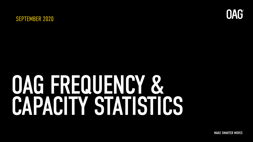



# OAG FREQUENCY & CAPACITY STATISTICS

MAKE SMARTER MOVES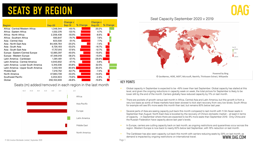### **SEATS BY REGION**

|                                     |               | <b>Change v</b> |          | <b>Change v</b> |          |
|-------------------------------------|---------------|-----------------|----------|-----------------|----------|
| <b>Region</b>                       | <b>Sep-20</b> | <b>Sep-19</b>   | % Change | <b>Aug-20</b>   | % Change |
| Africa: Central/Western Africa      | 1,348,544     | $-49.1%$        |          | 20.2%           |          |
| Africa: Eastern Africa              | 1,532,376     | $-53.1%$        |          | 4.7%            |          |
| Africa: North Africa                | 2,208,438     | $-55.5\%$       |          | $-8.6%$         |          |
| Africa: Southern Africa             | 690,847       | -79.7%          |          | 7.6%            |          |
| Asia: Central Asia                  | 823,530       | $-51.1%$        |          | 7.7%            |          |
| Asia: North East Asia               | 84,406,764    | $-20.2%$        |          | $-7.4%$         |          |
| Asia: South Asia                    | 9,726,193     | $-53.2%$        |          | $-16.7%$        |          |
| Asia: South East Asia               | 17,757,815    | -57.6%          |          | $-12.7%$        |          |
| Europe: Eastern/Central Europe      | 12,885,397    | $-40.0\%$       |          | $-15.9%$        |          |
| Europe: Western Europe              | 47,348,918    | $-58.2%$        |          | $-15.5%$        |          |
| Latin America : Caribbean           | 1,381,481     | $-57.1%$        |          | $-28.6\%$       |          |
| Latin America : Central America     | 4,943,652     | $-47.1%$        |          | $-3.8%$         |          |
| Latin America : Lower South America | 5,316,036     | $-65.8%$        |          | 32.5%           |          |
| Latin America: Upper South America  | 1,433,194     | $-80.6\%$       |          | 30.2%           |          |
| Middle East                         | 7,210,752     | -62.7%          |          | -7.4%           |          |
| North America                       | 47,883,739    | $-53.3%$        |          | $-14.6%$        |          |
| Southwest Pacific                   | 3,204,924     | $-73.6%$        |          | $-2.8%$         |          |
| Global                              | 250,102,600   | $-48.8%$        |          | $-10.8%$        |          |

Seats (m) added/removed in each region in the last month



#### Seat Capacity September 2020 v 2019



#### KEY POINTS

- Global capacity in September is expected to be -49% lower than last September. Global capacity has stalled at this level, and given the ongoing reductions in capacity week on week, the total picture for September is likely to be lower still by the end of the month. Carriers globally have reduced capacity by 11% on last month.
- There are pockets of growth versus last month in Africa, Central Asia and Latin America, but this growth is from a very low basis as some of these markets have been slowest to kick start recovery from very low levels. South Africa for example will see 8% more seats this month than last, but remains 80% below last year.
- Several parts of Asia are seeing capacity pull back this month compared to last month with 11.3m fewer seats in September than August. North East Asia is boosted by the recovery of China's domestic market – at least in terms of capacity - in September where there are expected to be 8% more seats than September 2019. Only China and the Russian Federation have capacity above last year's levels.
- In Europe, carriers are cutting capacity back on last month, as ongoing restrictions and quarantines occur across the region. Western Europe is now back to nearly 60% below last September, with 16% reduction on last month.
- The Caribbean has also seen capacity cut back this month with carriers reducing seats by 29% on last month, as demand is impacted by ongoing restrictions on international travel. WWW MUG COM

© OAG Aviation Worldwide Limited | September 2020

Page 1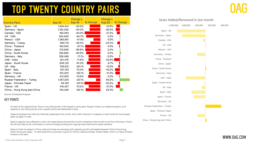### TOP TWENTY COUNTRY PAIRS

| <b>Country Pairs</b>          | <b>Sep-20</b> | <b>Change v</b><br><b>Sep-19</b> | % Change | <b>Change v</b><br><b>Aug-20</b> | % Change |
|-------------------------------|---------------|----------------------------------|----------|----------------------------------|----------|
| Spain - UK                    | 1,904,614     | $-63.3%$                         |          | $-31.8%$                         |          |
| Germany - Spain               | 1,182,292     | $-64.3\%$                        |          | $-38.0%$                         |          |
| Canada - USA                  | 189,483       | $-94.0\%$                        |          | $-27.2%$                         |          |
| UK - USA                      | 364,640       | $-84.7%$                         |          | 3.4%                             |          |
| Mexico - USA                  | 1,385,861     | $-41.5%$                         |          | $0.0\%$                          |          |
| Germany - Turkey              | 892,115       | -59.4%                           |          | $-22.4%$                         |          |
| China - Thailand              | 190,942       | $-91.1%$                         |          | $-4.5%$                          |          |
| China - Japan                 | 215,699       | $-89.8%$                         |          | 2.4%                             |          |
| China - South Korea           | 305,862       | $-84.9\%$                        |          | 9.2%                             |          |
| Germany - Italy               | 559,496       | $-71.1%$                         |          | $-2.9%$                          |          |
| UAE - India                   | 521,476       | $-71.6%$                         |          | $-53.8%$                         |          |
| Japan - South Korea           | 339,133       | $-81.3%$                         |          | $-6.7\%$                         |          |
| UK - Italy                    | 709,812       | $-60.1%$                         |          | $-13.5%$                         |          |
| Spain - Italy                 | 521,193       | $-70.4%$                         |          | $-45.2%$                         |          |
| Spain - France                | 513,322       | $-68.1%$                         |          | $-41.5%$                         |          |
| Germany - UK                  | 412,953       | $-73.6%$                         |          | $-2.5%$                          |          |
| Russian Federation - Turkey   | 1,057,205     | $-26.1%$                         |          | 89.2%                            |          |
| Japan - Chinese Taipei        | 69,165        | $-95.1%$                         |          | $-20.4%$                         |          |
| France - UK                   | 416,427       | $-70.2%$                         |          | $-37.0%$                         |          |
| China - Hong Kong (sar) China | 164,548       | $-88.1%$                         |          | 29.3%                            |          |

Source: Schedules Analyser

#### KEY POINTS

- As seen at the regional level, there is very little growth in the largest country pairs. Russia-Turkey is a notable exception, and capacity is now sitting at just over a quarter below last September's level.
- Capacity between the UAE and India has scaled back this month, with a 54% reduction in capacity on last month as Covid cases spike up again in India.
- Spain's capacity has suffered too with 2.4m seats being removed this month compared to last month to and from Germany, France, the UK and Italy as the combination of school holidays ending and ongoing travel restrictions impact demand.
- Signs of small increases in China outbound travel are emerging with capacity growth anticipated between China-Hong Kong, South Korea and Japan. To what extent this continues to grow for China's national holiday, Golden Week, which is in early October remains to be seen.

#### Seats Added/Removed in last month

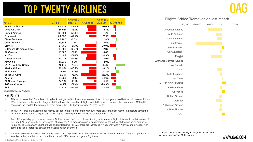### TOP TWENTY AIRLINES

|                             |               | <b>Change v</b> |          | <b>Change v</b>           |  |
|-----------------------------|---------------|-----------------|----------|---------------------------|--|
| <b>Airlines</b>             | <b>Sep-20</b> | <b>Sep-19</b>   | % Change | % Change<br><b>Aug-20</b> |  |
| <b>American Airlines</b>    | 94,332        | $-51.0%$        |          | $-11.0%$                  |  |
| Delta Air Lines             | 85,961        | $-45.9%$        |          | $-5.3%$                   |  |
| <b>United Airlines</b>      | 65,094        | $-56.4%$        |          | $-5.7\%$                  |  |
| Southwest                   | 64,039        | $-42.4%$        |          | $-25.1%$                  |  |
| China Southern              | 63,290        | $-5.0\%$        |          | 2.8%                      |  |
| China Eastern               | 61,383        | $-7.6%$         |          | $-2.6%$                   |  |
| Easyjet                     | 21,759        | $-61.7%$        |          | $-29.9%$                  |  |
| Lufthansa German Airlines   | 15,226        | $-68.3%$        |          | 2.3%                      |  |
| Air Canada                  | 10,500        | $-77.8%$        |          | $-0.6%$                   |  |
| <b>IndiGo</b>               | 21,192        | -51.4%          |          | $-14.9%$                  |  |
| <b>Turkish Airlines</b>     | 19,078        | $-54.8%$        |          | $-7.9\%$                  |  |
| Air China                   | 37,939        | $-8.7\%$        |          | $1.0\%$                   |  |
| <b>LATAM Airlines Group</b> | 10,910        | $-73.6%$        |          | 40.1%                     |  |
| Alaska Airlines             | 22,921        | $-40.2%$        |          | $-6.2%$                   |  |
| Air France                  | 19,671        | $-42.1%$        |          | 14.7%                     |  |
| <b>British Airways</b>      | 6,967         | $-78.1%$        |          | $-23.7%$                  |  |
| Aeroflot                    | 15,038        | $-51.8%$        |          | $-24.6%$                  |  |
| All Nippon Airways          | 24,837        | $-18.1%$        |          | $-7.5%$                   |  |
| JetBlue Airways             | 8,557         | -71.3%          |          | $-20.3%$                  |  |
| SAS                         | 12,574        | $-54.6%$        |          | 22.3%                     |  |

Source: Schedules Analyser

#### KEY POINTS

- This month sees the US carriers pulling back on flights Southwest who were closest to last year's level last month, have withdrawn 25% of the seats scheduled in August. JetBlue have also pared back flights with 20% fewer this month than last month. Of the US carriers in the Top 20, they remain furthest behind their 2019 position with 71% less flights.
- The LATAM group are adding back flights, as seen in the regional chart with 40% more seats than last month. In absolute terms the LATAM increase equates to just over 3,000 flights and they remain 74% down on September 2019.
- Two of Europe's biggest network carriers, Air France and SAS are both anticipating an increase in flights this month, with increase of 15% and 22% respectively on last month. Much of the Air France increase is on domestic routes, although there is some additional frequency to Germany, the Netherlands and Switzerland. For SAS there are increases in frequency within Norway and Sweden, with some additional increases between the Scandinavian countries.
- easyJet have reduced flights this month, due to ongoing challenges with quarantine and restrictions on travel. They will operate 30% less flights this month than last month and remain 62% behind last year's flight level.



#### Flights Added/Removed on last month



© OAG Aviation Worldwide Limited | September 2020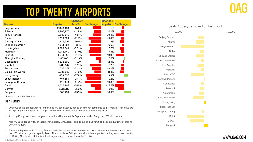### TOP TWENTY AIRPORTS

|                        |               | <b>Change v</b> |          | <b>Change v</b> |          |
|------------------------|---------------|-----------------|----------|-----------------|----------|
| <b>Airports</b>        | <b>Sep-20</b> | <b>Sep-19</b>   | % Change | <b>Aug-20</b>   | % Change |
| <b>Beijing Capital</b> | 2,823,434     | $-45.8%$        |          | $-5.5%$         |          |
| Atlanta                | 2,996,970     | $-41.9%$        |          | $-7.2\%$        |          |
| Tokyo Haneda           | 2,603,910     | $-43.1%$        |          | $-20.4%$        |          |
| Dubai                  | 1,280,884     | $-71.9%$        |          | $-9.0\%$        |          |
| Chicago O'Hare         | 1,876,967     | $-56.5%$        |          | $-11.1%$        |          |
| London Heathrow        | 1,351,384     | $-68.4%$        |          | $-6.6%$         |          |
| Los Angeles            | 1,593,044     | $-62.1%$        |          | $-10.5%$        |          |
| Frankfurt              | 1,283,749     | $-68.9%$        |          | $-7.3%$         |          |
| Paris CDG              | 1,534,388     | $-61.8%$        |          | $-19.9%$        |          |
| Shanghai Pudong        | 2,655,651     | $-32.3%$        |          | 0.7%            |          |
| Guangzhou              | 3,335,390     | $-11.0%$        |          | $-2.8%$         |          |
| Istanbul               | 1,418,547     | $-62.1%$        |          | $-7.2\%$        |          |
| Amsterdam              | 1,722,357     | $-53.3\%$       |          | $-8.2\%$        |          |
| Dallas Fort Worth      | 2,288,957     | $-37.9%$        |          | $-11.8%$        |          |
| Hong Kong              | 438,036       | $-87.8%$        |          | 9.9%            |          |
| Seoul Incheon          | 749,884       | $-78.7%$        |          | $-0.5%$         |          |
| Singapore Changi       | 287,014       | $-91.7%$        |          | $-19.6%$        |          |
| Delhi                  | 1,535,903     | $-55.5%$        |          | $-23.7%$        |          |
| Denver                 | 2,228,117     | $-35.3%$        |          | $-15.0\%$       |          |
| Bangkok                | 803,734       | $-75.5%$        |          | 16.9%           |          |

Source: Schedules Analyser

#### KEY POINTS

- Only two of the largest airports in the world will see capacity added this month compared to last month. These two are Hong Kong and Bangkok. Both airports are still considerably behind last year's capacity level.
- At Hong Kong, just 12% of last year's capacity will operate this September and at Bangkok, 25% will operate.
- Many will see capacity fall on last month, notably Singapore, Paris, Tokyo and Delhi which all see reductions of around 20% on August.
- Based on September 2020 data, Guangzhou is the largest airport in the world this month with 3.3m seats and a position just 11% below last year's capacity level. This is partly as Beijing's new airport has impacted on the year on year position for Beijing Capital airport, but is not yet large enough to make it into the Top 20.



WWW.OAG.COM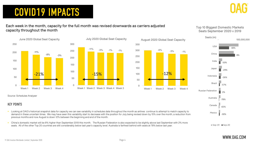## COVID19 IMPACTS

#### Each week in the month, capacity for the full month was revised downwards as carriers adjusted capacity throughout the month

Top 10 Biggest Domestic Markets Seats September 2020 v 2019





#### KEY POINTS

**Looking at OAG's historical snapshot data for capacity we can see variability in schedules data throughout the month as airlines continue to attempt to match capacity to** demand in these uncertain times. We may have seen this variability start to decrease with the position for July being revised down by 15% over the month, a reduction from previous months and now August is down 12% between the beginning and end of the month.

 $-15%$ 

 China's domestic market will be 8% higher than September 2019 this month. The Russian Federation is also expected to be slightly above last September with 2% more seats. All of the other Top 20 countries are still considerably below last year's capacity level. Australia is farthest behind with seats at 78% below last year.

 $\blacksquare$  Sep-19  $\blacksquare$  Sep-20



 $\Omega$ 

50

100

150

200

250

300

350